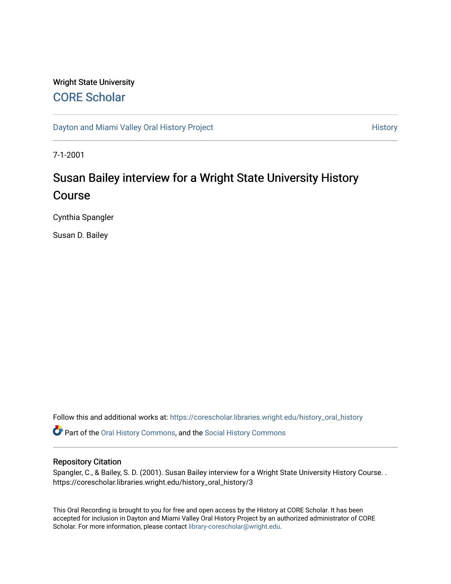## Wright State University [CORE Scholar](https://corescholar.libraries.wright.edu/)

[Dayton and Miami Valley Oral History Project](https://corescholar.libraries.wright.edu/history_oral_history) **History** History

7-1-2001

# Susan Bailey interview for a Wright State University History Course

Cynthia Spangler

Susan D. Bailey

Follow this and additional works at: [https://corescholar.libraries.wright.edu/history\\_oral\\_history](https://corescholar.libraries.wright.edu/history_oral_history?utm_source=corescholar.libraries.wright.edu%2Fhistory_oral_history%2F3&utm_medium=PDF&utm_campaign=PDFCoverPages) 

Part of the [Oral History Commons](http://network.bepress.com/hgg/discipline/1195?utm_source=corescholar.libraries.wright.edu%2Fhistory_oral_history%2F3&utm_medium=PDF&utm_campaign=PDFCoverPages), and the [Social History Commons](http://network.bepress.com/hgg/discipline/506?utm_source=corescholar.libraries.wright.edu%2Fhistory_oral_history%2F3&utm_medium=PDF&utm_campaign=PDFCoverPages)

#### Repository Citation

Spangler, C., & Bailey, S. D. (2001). Susan Bailey interview for a Wright State University History Course. . https://corescholar.libraries.wright.edu/history\_oral\_history/3

This Oral Recording is brought to you for free and open access by the History at CORE Scholar. It has been accepted for inclusion in Dayton and Miami Valley Oral History Project by an authorized administrator of CORE Scholar. For more information, please contact [library-corescholar@wright.edu](mailto:library-corescholar@wright.edu).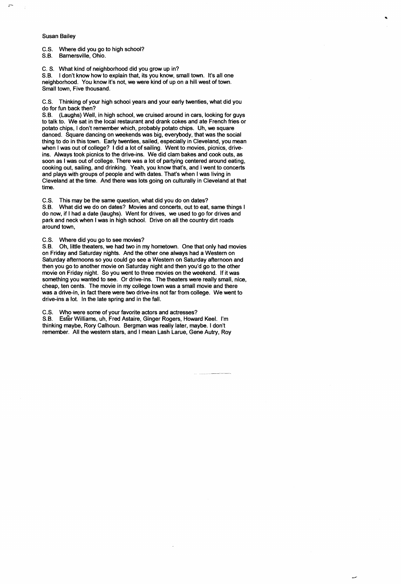#### Susan Bailey

 $\overline{r}$ 

C.S. Where did you go to high school?

S.B. Barnersville, Ohio.

C. S. What kind of neighborhood did you grow up in?

S.B. I don't know how to explain that, its you know, small town. It's all one neighborhood. You know it's not, we were kind of up on a hill west of town. Small town, Five thousand.

C.S. Thinking of your high school years and your early twenties, what did you do for fun back then?

S.B. (Laughs) Well, in high school, we cruised around in cars, looking for guys to talk to. We sat in the local restaurant and drank cokes and ate French fries or potato chips, I don't remember which, probably potato chips. Uh, we square danced. Square dancing on weekends was big, everybody, that was the social thing to do in this town. Early twenties, sailed, especially in Cleveland, you mean when I was out of college? I did a lot of sailing. Went to movies, picnics, driveins. Always took picnics to the drive-ins. We did clam bakes and cook outs, as soon as I was out of college. There was a lot of partying centered around eating, cooking out, sailing, and drinking. Yeah, you know that's, and I went to concerts and plays with groups of people and with dates. That's when I was living in Cleveland at the time. And there was lots going on culturally in Cleveland at that time.

C.S. This may be the same question, what did you do on dates?

S.B. What did we do on dates? Movies and concerts, out to eat, same things I do now, if I had a date (laughs). Went for drives, we used to go for drives and park and neck when I was in high school. Drive on all the country dirt roads around town,

C.S. Where did you go to see movies?

S.B. Oh, little theaters, we had two in my hometown. One that only had movies on Friday and Saturday nights. And the other one always had a Western on Saturday afternoons so you could go see a Western on Saturday afternoon and then you go to another movie on Saturday night and then you'd go to the other movie on Friday night. So you went to three movies on the weekend. If it was something you wanted to see. Or drive-ins. The theaters were really small, nice, cheap, ten cents. The movie in my college town was a small movie and there was a drive-in, in fact there were two drive-ins not far from college. We went to drive-ins a lot. In the late spring and in the fall.

C.S. Who were some of your favorite actors and actresses?

S.B. Ester Williams, uh, Fred Astaire, Ginger Rogers, Howard Keel. I'm thinking maybe, Rory Calhoun. Bergman was really later, maybe. I don't remember. All the western stars, and I mean Lash Larue, Gene Autry, Roy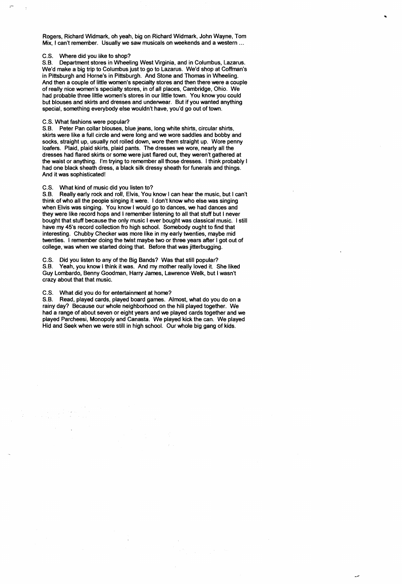Rogers, Richard Widmark, oh yeah, big on Richard Widmark, John Wayne, Tom Mix, I can't remember. Usually we saw musicals on weekends and a western ...

#### C.S. Where did you like to shop?

 $\sim$ 

 $\ddot{\cdot}$ 

S.B. Department stores in Wheeling West Virginia, and in Columbus, Lazarus. We'd make a big trip to Columbus just to go to Lazarus. We'd shop at Coffman's in Pittsburgh and Horne's in Pittsburgh. And Stone and Thomas in Wheeling. And then a couple of little women's specialty stores and then there were a couple of really nice women's specialty stores, in of all places, Cambridge, Ohio. We had probable three little women's stores in our little town. You know you could but blouses and skirts and dresses and underwear. But if you wanted anything special, something everybody else wouldn't have, you'd go out of town.

#### C.S. What fashions were popular?

S.B. Peter Pan collar blouses, blue jeans, long white shirts, circular shirts, skirts were like a full circle and were long and we wore saddles and bobby and socks, straight up, usually not rolled down, wore them straight up. Wore penny loafers. Plaid, plaid skirts, plaid pants. The dresses we wore, nearly all the dresses had flared skirts or some were just flared out, they weren't gathered at the waist or anything. I'm trying to remember all those dresses. I think probably I had one black sheath dress, a black silk dressy sheath for funerals and things. And it was sophisticated!

#### C.S. What kind of music did you listen to?

S.B. Really early rock and roll, Elvis, You know I can hear the music, but I can't think of who all the people singing it were. I don't know who else was singing when Elvis was singing. You know I would go to dances, we had dances and they were like record hops and I remember listening to all that stuff but I never bought that stuff because the only music I ever bought was classical music. I still have my 45's record collection fro high school. Somebody ought to find that interesting. Chubby Checker was more like in my early twenties, maybe mid twenties. I remember doing the twist maybe two or three years after I got out of college, was when we started doing that. Before that was jitterbugging.

C.S. Did you listen to any of the Big Bands? Was that still popular?

S.B. Yeah, you know I think it was. And my mother really loved it. She liked Guy Lombardo, Benny Goodman, Harry James, Lawrence Welk, but I wasn't crazy about that that music.

### C.S. What did you do for entertainment at home?

S.B. Read, played cards, played board games. Almost, what do you do on a rainy day? Because our whole neighborhood on the hill played together. We had a range of about seven or eight years and we played cards together and we played Parcheesi, Monopoly and Canasta. We played kick the can. We played Hid and Seek when we were still in high school. Our whole big gang of kids.